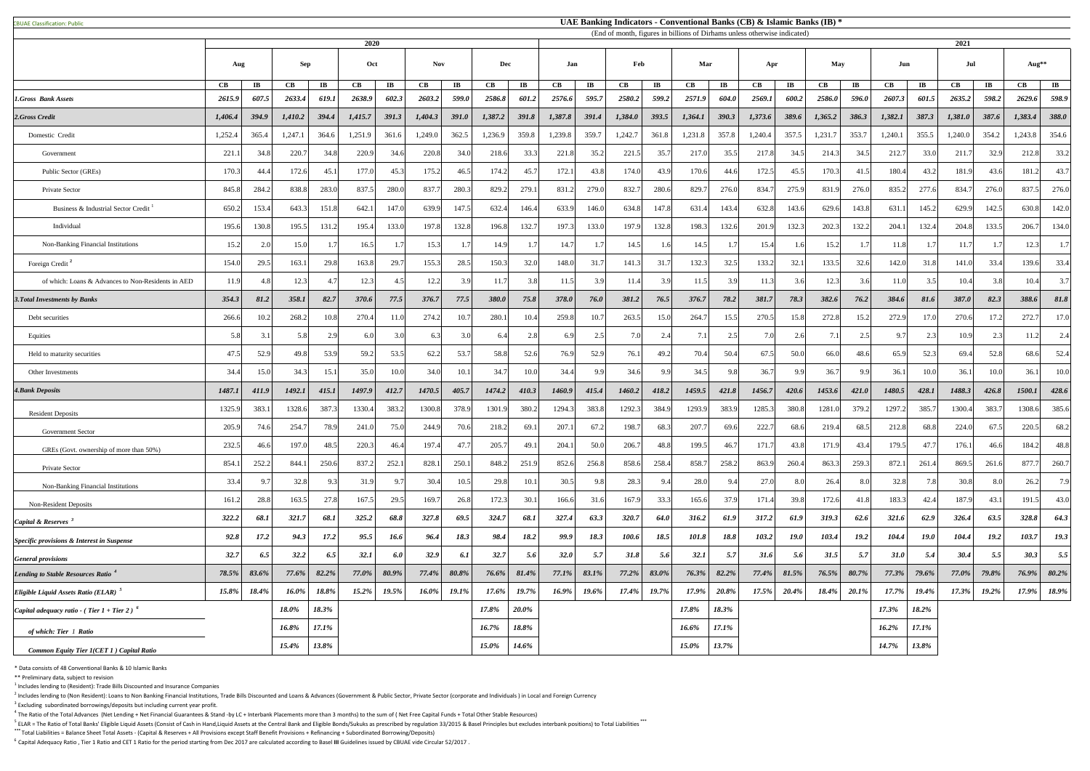CBUAE Classification: Public#

 $<sup>1</sup>$  Includes lending to (Resident): Trade Bills Discounted and Insurance Companies</sup>

 $^2$  Includes lending to (Non Resident): Loans to Non Banking Financial Institutions, Trade Bills Discounted and Loans & Advances (Government & Public Sector, Private Sector (corporate and Individuals) in Local and Foreig  $3$  Excluding subordinated borrowings/deposits but including current year profit.

 $^4$  The Ratio of the Total Advances (Net Lending + Net Financial Guarantees & Stand -by LC + Interbank Placements more than 3 months) to the sum of (Net Free Capital Funds + Total Other Stable Resources)

<sup>5</sup> ELAR = The Ratio of Total Banks' Eligible Liquid Assets (Consist of Cash in Hand,Liquid Assets at the Central Bank and Eligible Bonds/Sukuks as prescribed by regulation 33/2015 & Basel Principles but excludes interbank **\*\*\*** Total Liabilities = Balance Sheet Total Assets - (Capital & Reserves + All Provisions except Staff Benefit Provisions + Refinancing + Subordinated Borrowing/Deposits)

<sup>6</sup> Capital Adequacy Ratio, Tier 1 Ratio and CET 1 Ratio for the period starting from Dec 2017 are calculated according to Basel III Guidelines issued by CBUAE vide Circular 52/2017.

|                                                    | 2020          |                        |         |                         |          |                          |            | (End of month, rigures in billions of Diffiams unless otherwise indicated) |         |                        |                        |                        |                        |                        |                        | 2021                   |         |                       |         |                        |                        |                       |         |                       |          |                        |
|----------------------------------------------------|---------------|------------------------|---------|-------------------------|----------|--------------------------|------------|----------------------------------------------------------------------------|---------|------------------------|------------------------|------------------------|------------------------|------------------------|------------------------|------------------------|---------|-----------------------|---------|------------------------|------------------------|-----------------------|---------|-----------------------|----------|------------------------|
|                                                    | Aug           |                        | Sep     |                         | Oct      |                          | <b>Nov</b> |                                                                            | Dec     |                        | Jan                    |                        | Feb                    |                        | Mar                    |                        | Apr     |                       | May     |                        | Jun                    |                       | Jul     |                       | Aug**    |                        |
|                                                    | $\mathbf{CB}$ | $\mathbf{I}\mathbf{B}$ | CB      | $\mathbf{I} \mathbf{B}$ | CB       | $\mathbf{I}\mathbf{B}$   | CB         | $\mathbf{I}$ <b>B</b>                                                      | CB      | $\mathbf{I}\mathbf{B}$ | $\mathbf{C}\mathbf{B}$ | $\mathbf{I}\mathbf{B}$ | $\mathbf{C}\mathbf{B}$ | $\mathbf{I}\mathbf{B}$ | $\mathbf{C}\mathbf{B}$ | $\mathbf{I}\mathbf{B}$ | CB      | $\mathbf{I}$ <b>B</b> | CB      | $\mathbf{I}\mathbf{B}$ | $\mathbf{C}\mathbf{B}$ | $\mathbf{I}$ <b>B</b> | CB      | $\mathbf{I}$ <b>B</b> | CB       | $\mathbf{I}\mathbf{B}$ |
| 1.Gross Bank Assets                                | 2615.9        | 607.5                  | 2633.4  | 619.1                   | 2638.9   | 602.3                    | 2603.2     | 599.0                                                                      | 2586.8  | 601.2                  | 2576.6                 | 595.7                  | 2580.2                 | 599.2                  | 2571.9                 | 604.0                  | 2569.1  | 600.2                 | 2586.0  | 596.0                  | 2607.3                 | 601.5                 | 2635.2  | 598.2                 | 2629.6   | 598.9                  |
| 2.Gross Credit                                     | 1,406.4       | 394.9                  | 1,410.2 | 394.4                   | 1,415.7  | 391.3                    | 1,404.3    | 391.0                                                                      | 1,387.2 | 391.8                  | 1,387.8                | 391.4                  | 1,384.0                | 393.5                  | 1,364.1                | 390.3                  | 1,373.6 | 389.6                 | 1,365.2 | 386.3                  | 1,382.1                | 387.3                 | 1,381.0 | 387.6                 | 1,383.4  | 388.0                  |
| Domestic Credit                                    | 1,252.4       | 365.4                  | 1,247.1 | 364.6                   | 1,251.9  | 361.6                    | 1,249.0    | 362.5                                                                      | 1,236.9 | 359.8                  | 1,239.8                | 359.7                  | 1,242.7                | 361.8                  | 1,231.8                | 357.8                  | 1,240.4 | 357.5                 | 1,231.7 | 353.7                  | 1,240.1                | 355.5                 | 1,240.0 | 354.2                 | 1,243.8  | 354.6                  |
| Government                                         | 221.1         | 34.8                   | 220.7   | 34.8                    | 220.9    | 34.6                     | 220.8      | 34.0                                                                       | 218.6   | 33.3                   | 221.8                  | 35.2                   | 221.5                  | 35.7                   | 217.0                  | 35.5                   | 217.8   | 34.5                  | 214.3   | 34.5                   | 212.7                  | 33.0                  | 211.7   | 32.9                  | 212.8    | 33.2                   |
| Public Sector (GREs)                               | 170.3         | 44.                    | 172.6   | 45.1                    | 177.0    | 45.3                     | 175.2      | 46.5                                                                       | 174.2   | 45.7                   | 172.1                  | 43.8                   | 174.0                  | 43.9                   | 170.6                  | 44.6                   | 172.5   | 45.5                  | 170.3   | 41.5                   | 180.4                  | 43.2                  | 181.9   | 43.6                  | 181.2    | 43.7                   |
| Private Sector                                     | 845.8         | 284.2                  | 838.8   | 283.0                   | 837.5    | 280.0                    | 837.       | 280.3                                                                      | 829.2   | 279.1                  | 831.2                  | 279.0                  | 832.7                  | 280.6                  | 829.7                  | 276.0                  | 834.7   | 275.9                 | 831.9   | 276.0                  | 835.2                  | 277.6                 | 834.7   | 276.0                 | 837.5    | 276.0                  |
| Business & Industrial Sector Credit                | 650.2         | 153.4                  | 643.3   | 151.8                   | 642.1    | 147.0                    | 639.9      | 147.5                                                                      | 632.4   | 146.4                  | 633.9                  | 146.0                  | 634.8                  | 147.8                  | 631.4                  | 143.4                  | 632.8   | 143.6                 | 629.6   | 143.8                  | 631.1                  | 145.2                 | 629.9   | 142.5                 | 630.8    | 142.0                  |
| Individual                                         | 195.6         | 130.8                  | 195.5   | 131.2                   | 195.4    | 133.0                    | 197.8      | 132.8                                                                      | 196.8   | 132.7                  | 197.3                  | 133.0                  | 197.9                  | 132.8                  | 198.3                  | 132.6                  | 201.9   | 132.3                 | 202.3   | 132.2                  | 204.1                  | 132.4                 | 204.8   | 133.5                 | 206.7    | 134.0                  |
| Non-Banking Financial Institutions                 | 15.2          | 2.0                    | 15.0    |                         | 16.5     | 1.7                      | 15.3       |                                                                            | 14.9    | 1.7                    | 14.7                   | 1.7 <sup>1</sup>       | 14.5                   | 1.6                    | 14.5                   |                        | 15.4    | 1.6                   | 15.2    | 1.7                    | 11.8                   |                       | 11.7    |                       | 12.3     | 1.7                    |
| Foreign Credit <sup>2</sup>                        | 154.0         | 29.5                   | 163.1   | 29.8                    | 163.8    | 29.7                     | 155.3      | 28.5                                                                       | 150.3   | 32.0                   | 148.0                  | 31.7                   | 141.3                  | 31.7                   | 132.3                  | 32.5                   | 133.2   | 32.1                  | 133.5   | 32.6                   | 142.0                  | 31.8                  | 141.0   | 33.4                  | 139.6    | 33.4                   |
| of which: Loans & Advances to Non-Residents in AED | 11.9          |                        | 12.3    |                         | 12.3     | 4.5                      | 12.2       |                                                                            | 11.'    | 3.8                    | 11.5                   | 3.9                    | 11.4                   | 3.9                    | 11.5                   | 3.9                    | 11.3    | 3.6                   | 12.3    | 3.6                    | 11.0                   |                       | 10.4    | 3.8                   | 10.4     | 3.7                    |
| <b>3. Total Investments by Banks</b>               | 354.3         | 81.2                   | 358.1   | 82.7                    | 370.6    | 77.5                     | 376.7      | 77.5                                                                       | 380.0   | 75.8                   | 378.0                  | 76.0                   | 381.2                  | 76.5                   | 376.7                  | 78.2                   | 381.7   | 78.3                  | 382.6   | 76.2                   | 384.6                  | 81.6                  | 387.0   | 82.3                  | 388.6    | 81.8                   |
| Debt securities                                    | 266.6         | 10.2                   | 268.2   |                         | 270.4    | 11.0                     | 274.2      | 10.7                                                                       | 280.    | 10.4                   | 259.8                  | 10.7                   | 263.5                  | 15.0                   | 264.7                  | 15.5                   | 270.5   | 15.8                  | 272.8   | 15.2                   | 272.9                  | 17.0                  | 270.6   | 17.7                  | 272.7    | 17.0                   |
| Equities                                           | 5.8           |                        | 5.8     | 2.9                     | 6.0      |                          | 6.         |                                                                            | 6.4     | 2.8                    | -6.9                   | 2.5                    |                        |                        | 7.1                    | 25                     |         | 2.6                   | 7.1     | 2.5                    | 9.7                    |                       | 10.9    | 2.3                   | 11.2     | 2.4                    |
| Held to maturity securities                        | 47.5          | 52.9                   | 49.8    | 53.9                    | 59.2     | 53.5                     | 62.2       | 53.7                                                                       | 58.8    | 52.6                   | 76.9                   | 52.9                   | 76.1                   | 49.2                   | 70.4                   | 50.4                   | 67.5    | 50.0                  | 66.0    | 48.6                   | 65.9                   | 52.                   | 69.4    | 52.8                  | 68.6     | 52.4                   |
| Other Investments                                  | 34.4          | 15.                    | 34.3    | 15.                     | 35.0     | 10.0                     | 34.0       | 10.1                                                                       | 34.7    | 10.0                   | 34.4                   |                        | 34.6                   | 9.9                    | 34.5                   | 9.8                    | 36.7    | QQ                    | 36.7    |                        | 36.1                   | 10.0                  | 36.1    | 10.0                  | 36.1     | 10.0                   |
| <b>4. Bank Deposits</b>                            | 1487.1        | 411.9                  | 1492.1  | 415.1                   | 1497.9   | 412.7                    | 1470.5     | 405.7                                                                      | 1474.2  | 410.3                  | 1460.9                 | 415.4                  | 1460.2                 | 418.2                  | 1459.5                 | 421.8                  | 1456.7  | 420.6                 | 1453.6  | 421.0                  | 1480.5                 | 428.1                 | 1488.3  | 426.8                 | 1500.1   | 428.6                  |
| <b>Resident Deposits</b>                           | 1325.9        | 383.                   | 1328.6  | 387.3                   | 1330.4   | 383.2                    | 1300.8     | 378.9                                                                      | 1301.9  | 380.2                  | 1294.3                 | 383.8                  | 1292.3                 | 384.9                  | 1293.9                 | 383.9                  | 1285.3  | 380.8                 | 1281.0  | 379.2                  | 1297.2                 | 385.                  | 1300.4  | 383.7                 | 1308.6   | 385.6                  |
| Government Sector                                  | 205.9         | 74.6                   | 254.7   | 78.9                    | 241.0    | 75.0                     | 244.9      | 70.6                                                                       | 218.2   | 69.1                   | 207.1                  | 67.2                   | 198.7                  | 68.3                   | 207.7                  | 69.6                   | 222.7   | 68.6                  | 219.4   | 68.5                   | 212.8                  | 68.8                  | 224.0   | 67.5                  | 220.5    | 68.2                   |
| GREs (Govt. ownership of more than 50%)            | 232.5         | 46.6                   | 197.0   | 48.5                    | 220.3    | 46.4                     | 197.       | 47.7                                                                       | 205.7   | 49.1                   | 204.1                  | 50.0                   | 206.7                  | 48.8                   | 199.5                  | 46.7                   | 171.7   | 43.8                  | 171.9   | 43.4                   | 179.5                  | 47.                   | 176.1   | 46.6                  | 184.2    | 48.8                   |
| Private Sector                                     | 854.1         | 252.                   | 844.1   | 250.6                   | 837.2    | 252.1                    | 828.       | 250.1                                                                      | 848.2   | 251.9                  | 852.6                  | 256.8                  | 858.                   | 258.                   | 858.                   | 258.2                  | 863.9   | 260.4                 | 863.3   | 259.3                  | 872.1                  | 261.                  | 869.5   | 261.6                 | 877.7    | 260.7                  |
| Non-Banking Financial Institutions                 | 33.4          |                        | 32.8    | 9.3                     | 31.9     | 9.7                      | 30.4       | 10.5                                                                       | 29.8    | 10.1                   | 30.5                   |                        | 28.3                   | $\mathbf Q$            | 28.0                   | 9.4                    | 27.0    | 8.0                   | 26.4    | 8.0                    | 32.8                   |                       | 30.8    | 8.0                   | 26.2     | 7.9                    |
| <b>Non-Resident Deposits</b>                       | 161.2         | 28.8                   | 163.5   | 27.8                    | 167.5    | 29.5                     | 169.       | 26.8                                                                       | 172.3   | 30.1                   | 166.6                  | 31.6                   | 167.9                  | 33.3                   | 165.6                  | 37.9                   | 171.4   | 39.8                  | 172.6   | 41.8                   | 183.3                  | 42.                   | 187.9   | 43.1                  | 191.5    | 43.0                   |
| Capital & Reserves                                 | 322.2         | 68.1                   | 321.7   | 68.1                    | 325.2    | 68.8                     | 327.8      | 69.5                                                                       | 324.7   | 68.1                   | 327.4                  | 63.3                   | 320.7                  | 64.0                   | 316.2                  | 61.9                   | 317.2   | 61.9                  | 319.3   | 62.6                   | 321.6                  | 62.9                  | 326.4   | 63.5                  | 328.8    | 64.3                   |
| Specific provisions & Interest in Suspense         | 92.8          | 17.2                   | 94.3    | 17.2                    | 95.5     | 16.6                     | 96.4       | 18.3                                                                       | 98.4    | 18.2                   | 99.9                   | 18.3                   | 100.6                  | 18.5                   | 101.8                  | 18.8                   | 103.2   | <b>19.0</b>           | 103.4   | 19.2                   | 104.4                  | <b>19.0</b>           | 104.4   | 19.2                  | 103.7    | 19.3                   |
| <b>General provisions</b>                          | 32.7          | 6.5                    | 32.2    | 6.5                     | 32.1     | 6.0                      | 32.9       | 6.1                                                                        | 32.7    | 5.6                    | 32.0                   | 5.7                    | 31.8                   | 5.6                    | 32.1                   | 5.7                    | 31.6    | 5.6                   | 31.5    | 5.7                    | 31.0                   | 5.4                   | 30.4    | 5.5                   | 30.3     | 5.5                    |
| Lending to Stable Resources Ratio <sup>4</sup>     | 78.5%         | 83.6%                  | 77.6%   | 82.2%                   | 77.0%    | 80.9%                    | 77.4%      | 80.8%                                                                      | 76.6%   | 81.4%                  | 77.1%                  | 83.1%                  | 77.2%                  | 83.0%                  | 76.3%                  | 82.2%                  | 77.4%   | 81.5%                 | 76.5%   | 80.7%                  | 77.3%                  | 79.6%                 | 77.0%   | 79.8%                 | 76.9%    | 80.2%                  |
| <b>Eligible Liquid Assets Ratio (ELAR)</b>         | 15.8%         | 18.4%                  | 16.0%   | 18.8%                   | $15.2\%$ | 10.5%<br>$1$ , $0$ / $0$ | $16.0\%$   | 19.1%                                                                      | 17.6%   | 19.7%                  | $16.9\%$               | 19.6%                  | $17.4\%$               | 19.7%                  | 17.9%                  | $20.8\%$               | 17.5%   | 20.4%                 | 18.4%   | $20.1\%$               | 17.7%                  | 19.4%                 | 17.3%   | 10.2%<br>17.270       | $17.9\%$ | 18.9%                  |
| Capital adequacy ratio - (Tier 1 + Tier 2) $^6$    |               |                        | 18.0%   | 18.3%                   |          |                          |            |                                                                            | 17.8%   | $20.0\%$               |                        |                        |                        |                        | 17.8%                  | 18.3%                  |         |                       |         |                        | 17.3%                  | 18.2%                 |         |                       |          |                        |
| of which: Tier 1 Ratio                             |               |                        | 16.8%   | 17.1%                   |          |                          |            |                                                                            | 16.7%   | 18.8%                  |                        |                        |                        |                        | 16.6%                  | 17.1%                  |         |                       |         |                        | $16.2\%$               | 17.1%                 |         |                       |          |                        |
| Common Equity Tier 1(CET 1) Capital Ratio          |               |                        | 15.4%   | 13.8%                   |          |                          |            |                                                                            | 15.0%   | $14.6\%$               |                        |                        |                        |                        | 15.0%                  | 13.7%                  |         |                       |         |                        | 14.7%                  | 13.8%                 |         |                       |          |                        |

\* Data consists of 48 Conventional Banks & 10 Islamic Banks

\*\* Preliminary data, subject to revision

## **UAE Banking Indicators - Conventional Banks (CB) & Islamic Banks (IB) \***

(End of month, figures in billions of Dirhams unless otherwise indicated)